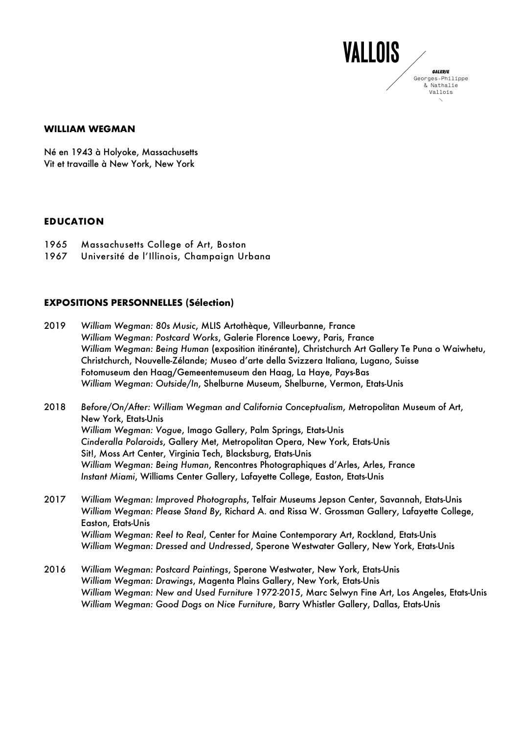#### **GALERIE** Georges-Philippe & Nathalie Vallois

**VALLOIS** 

### **WILLIAM WEGMAN**

Né en 1943 à Holyoke, Massachusetts Vit et travaille à New York, New York

### **EDUCATION**

- 1965 Massachusetts College of Art, Boston
- 1967 Université de l'Illinois, Champaign Urbana

## **EXPOSITIONS PERSONNELLES (Sélection)**

- 2019 *William Wegman: 80s Music*, MLIS Artothèque, Villeurbanne, France *William Wegman: Postcard Works*, Galerie Florence Loewy, Paris, France *William Wegman: Being Human* (exposition itinérante), Christchurch Art Gallery Te Puna o Waiwhetu, Christchurch, Nouvelle-Zélande; Museo d'arte della Svizzera Italiana, Lugano, Suisse Fotomuseum den Haag/Gemeentemuseum den Haag, La Haye, Pays-Bas *William Wegman: Outside/In*, Shelburne Museum, Shelburne, Vermon, Etats-Unis
- 2018 *Before/On/After: William Wegman and California Conceptualism*, Metropolitan Museum of Art, New York, Etats-Unis *William Wegman: Vogue*, Imago Gallery, Palm Springs, Etats-Unis *Cinderalla Polaroids*, Gallery Met, Metropolitan Opera, New York, Etats-Unis Sit!, Moss Art Center, Virginia Tech, Blacksburg, Etats-Unis *William Wegman: Being Human*, Rencontres Photographiques d'Arles, Arles, France *Instant Miami*, Williams Center Gallery, Lafayette College, Easton, Etats-Unis
- 2017 *William Wegman: Improved Photographs*, Telfair Museums Jepson Center, Savannah, Etats-Unis *William Wegman: Please Stand By*, Richard A. and Rissa W. Grossman Gallery, Lafayette College, Easton, Etats-Unis *William Wegman: Reel to Real*, Center for Maine Contemporary Art, Rockland, Etats-Unis *William Wegman: Dressed and Undressed*, Sperone Westwater Gallery, New York, Etats-Unis
- 2016 *William Wegman: Postcard Paintings*, Sperone Westwater, New York, Etats-Unis *William Wegman: Drawings*, Magenta Plains Gallery, New York, Etats-Unis *William Wegman: New and Used Furniture 1972-2015*, Marc Selwyn Fine Art, Los Angeles, Etats-Unis *William Wegman: Good Dogs on Nice Furniture*, Barry Whistler Gallery, Dallas, Etats-Unis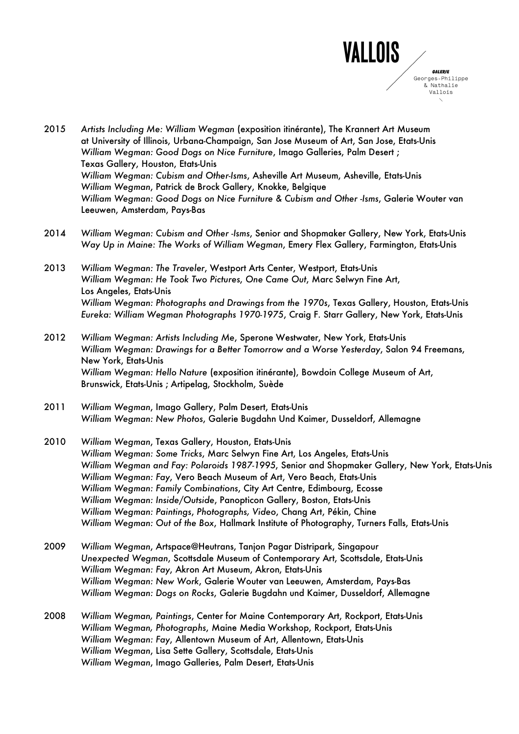

- 2015 *Artists Including Me: William Wegman* (exposition itinérante), The Krannert Art Museum at University of Illinois, Urbana-Champaign, San Jose Museum of Art, San Jose, Etats-Unis *William Wegman: Good Dogs on Nice Furniture*, Imago Galleries, Palm Desert ; Texas Gallery, Houston, Etats-Unis *William Wegman: Cubism and Other-Isms*, Asheville Art Museum, Asheville, Etats-Unis *William Wegman*, Patrick de Brock Gallery, Knokke, Belgique *William Wegman: Good Dogs on Nice Furniture & Cubism and Other -Isms*, Galerie Wouter van Leeuwen, Amsterdam, Pays-Bas
- 2014 *William Wegman: Cubism and Other -Isms*, Senior and Shopmaker Gallery, New York, Etats-Unis *Way Up in Maine: The Works of William Wegman*, Emery Flex Gallery, Farmington, Etats-Unis
- 2013 *William Wegman: The Traveler*, Westport Arts Center, Westport, Etats-Unis *William Wegman: He Took Two Pictures*, *One Came Out*, Marc Selwyn Fine Art, Los Angeles, Etats-Unis *William Wegman: Photographs and Drawings from the 1970s*, Texas Gallery, Houston, Etats-Unis *Eureka: William Wegman Photographs 1970-1975*, Craig F. Starr Gallery, New York, Etats-Unis
- 2012 *William Wegman: Artists Including Me*, Sperone Westwater, New York, Etats-Unis *William Wegman: Drawings for a Better Tomorrow and a Worse Yesterday*, Salon 94 Freemans, New York, Etats-Unis *William Wegman: Hello Nature* (exposition itinérante), Bowdoin College Museum of Art, Brunswick, Etats-Unis ; Artipelag, Stockholm, Suède
- 2011 *William Wegman*, Imago Gallery, Palm Desert, Etats-Unis *William Wegman: New Photos*, Galerie Bugdahn Und Kaimer, Dusseldorf, Allemagne
- 2010 *William Wegman*, Texas Gallery, Houston, Etats-Unis *William Wegman: Some Tricks*, Marc Selwyn Fine Art, Los Angeles, Etats-Unis *William Wegman and Fay: Polaroids 1987-1995*, Senior and Shopmaker Gallery, New York, Etats-Unis *William Wegman: Fay*, Vero Beach Museum of Art, Vero Beach, Etats-Unis *William Wegman: Family Combinations*, City Art Centre, Edimbourg, Ecosse *William Wegman: Inside/Outside*, Panopticon Gallery, Boston, Etats-Unis *William Wegman: Paintings*, *Photographs, Video*, Chang Art, Pékin, Chine *William Wegman: Out of the Box*, Hallmark Institute of Photography, Turners Falls, Etats-Unis
- 2009 *William Wegman*, Artspace@Heutrans, Tanjon Pagar Distripark, Singapour *Unexpected Wegman*, Scottsdale Museum of Contemporary Art, Scottsdale, Etats-Unis *William Wegman: Fay*, Akron Art Museum, Akron, Etats-Unis *William Wegman: New Work*, Galerie Wouter van Leeuwen, Amsterdam, Pays-Bas *William Wegman: Dogs on Rocks*, Galerie Bugdahn und Kaimer, Dusseldorf, Allemagne
- 2008 *William Wegman, Paintings*, Center for Maine Contemporary Art, Rockport, Etats-Unis *William Wegman, Photographs*, Maine Media Workshop, Rockport, Etats-Unis *William Wegman: Fay*, Allentown Museum of Art, Allentown, Etats-Unis *William Wegman*, Lisa Sette Gallery, Scottsdale, Etats-Unis *William Wegman*, Imago Galleries, Palm Desert, Etats-Unis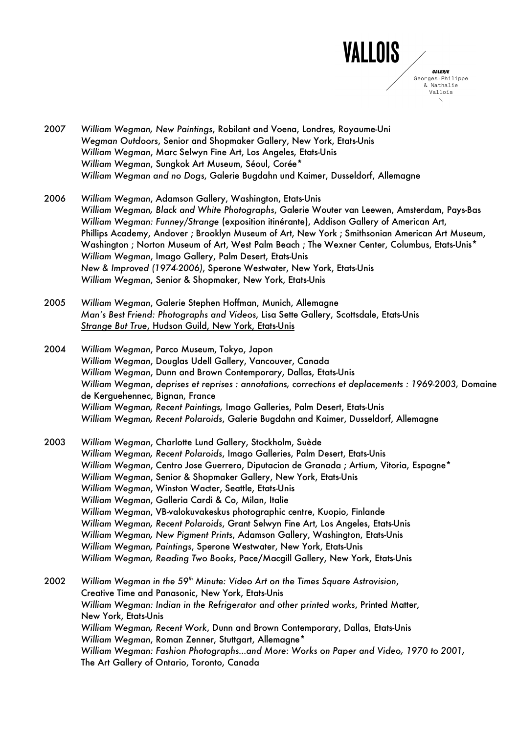

- 2007 *William Wegman, New Paintings*, Robilant and Voena, Londres, Royaume-Uni *Wegman Outdoors*, Senior and Shopmaker Gallery, New York, Etats-Unis *William Wegman*, Marc Selwyn Fine Art, Los Angeles, Etats-Unis *William Wegman*, Sungkok Art Museum, Séoul, Corée\* *William Wegman and no Dogs*, Galerie Bugdahn und Kaimer, Dusseldorf, Allemagne
- 2006 *William Wegman*, Adamson Gallery, Washington, Etats-Unis *William Wegman, Black and White Photographs*, Galerie Wouter van Leewen, Amsterdam, Pays-Bas *William Wegman: Funney/Strange* (exposition itinérante), Addison Gallery of American Art, Phillips Academy, Andover ; Brooklyn Museum of Art, New York ; Smithsonian American Art Museum, Washington ; Norton Museum of Art, West Palm Beach ; The Wexner Center, Columbus, Etats-Unis\* *William Wegman*, Imago Gallery, Palm Desert, Etats-Unis *New & Improved (1974-2006)*, Sperone Westwater, New York, Etats-Unis *William Wegman*, Senior & Shopmaker, New York, Etats-Unis
- 2005 *William Wegman*, Galerie Stephen Hoffman, Munich, Allemagne *Man's Best Friend: Photographs and Videos*, Lisa Sette Gallery, Scottsdale, Etats-Unis *Strange But True*, Hudson Guild, New York, Etats-Unis
- 2004 *William Wegman*, Parco Museum, Tokyo, Japon *William Wegman*, Douglas Udell Gallery, Vancouver, Canada *William Wegman*, Dunn and Brown Contemporary, Dallas, Etats-Unis *William Wegman*, *deprises et reprises : annotations, corrections et deplacements : 1969-2003,* Domaine de Kerguehennec, Bignan, France *William Wegman, Recent Paintings,* Imago Galleries, Palm Desert, Etats-Unis *William Wegman, Recent Polaroids*, Galerie Bugdahn and Kaimer, Dusseldorf, Allemagne
- 2003 *William Wegman*, Charlotte Lund Gallery, Stockholm, Suède *William Wegman, Recent Polaroids*, Imago Galleries, Palm Desert, Etats-Unis *William Wegman*, Centro Jose Guerrero, Diputacion de Granada ; Artium, Vitoria, Espagne\* *William Wegman*, Senior & Shopmaker Gallery, New York, Etats-Unis *William Wegman*, Winston Wacter, Seattle, Etats-Unis *William Wegman*, Galleria Cardi & Co, Milan, Italie *William Wegman*, VB-valokuvakeskus photographic centre, Kuopio, Finlande *William Wegman, Recent Polaroids*, Grant Selwyn Fine Art, Los Angeles, Etats-Unis *William Wegman, New Pigment Prints*, Adamson Gallery, Washington, Etats-Unis *William Wegman, Paintings*, Sperone Westwater, New York, Etats-Unis *William Wegman, Reading Two Books*, Pace/Macgill Gallery, New York, Etats-Unis
- 2002 *William Wegman in the 59th Minute: Video Art on the Times Square Astrovision*, Creative Time and Panasonic, New York, Etats-Unis *William Wegman: Indian in the Refrigerator and other printed works*, Printed Matter, New York, Etats-Unis *William Wegman, Recent Work*, Dunn and Brown Contemporary, Dallas, Etats-Unis *William Wegman*, Roman Zenner, Stuttgart, Allemagne\* *William Wegman: Fashion Photographs…and More: Works on Paper and Video, 1970 to 2001,* The Art Gallery of Ontario, Toronto, Canada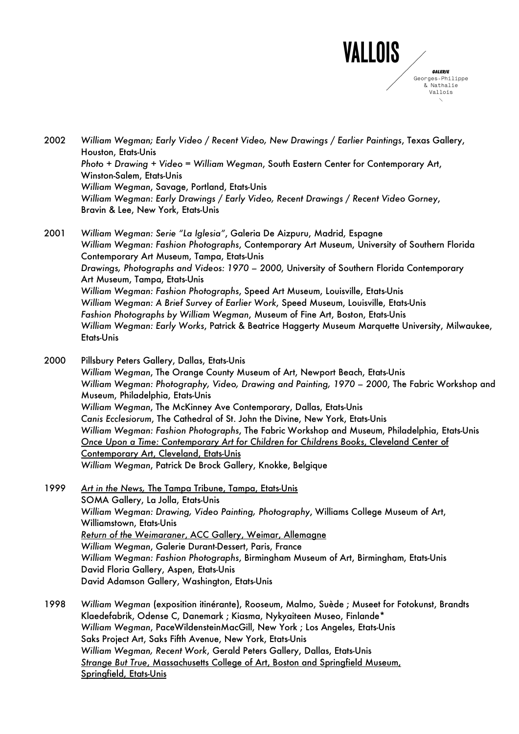

2002 *William Wegman; Early Video / Recent Video, New Drawings / Earlier Paintings*, Texas Gallery, Houston, Etats-Unis *Photo + Drawing + Video = William Wegman*, South Eastern Center for Contemporary Art, Winston-Salem, Etats-Unis *William Wegman*, Savage, Portland, Etats-Unis *William Wegman: Early Drawings / Early Video, Recent Drawings / Recent Video Gorney*, Bravin & Lee, New York, Etats-Unis

2001 *William Wegman: Serie "La Iglesia"*, Galeria De Aizpuru, Madrid, Espagne *William Wegman: Fashion Photographs*, Contemporary Art Museum, University of Southern Florida Contemporary Art Museum, Tampa, Etats-Unis *Drawings, Photographs and Videos: 1970 – 2000*, University of Southern Florida Contemporary Art Museum, Tampa, Etats-Unis *William Wegman: Fashion Photographs*, Speed Art Museum, Louisville, Etats-Unis *William Wegman: A Brief Survey of Earlier Work*, Speed Museum, Louisville, Etats-Unis *Fashion Photographs by William Wegman*, Museum of Fine Art, Boston, Etats-Unis *William Wegman: Early Works*, Patrick & Beatrice Haggerty Museum Marquette University, Milwaukee, Etats-Unis

2000 Pillsbury Peters Gallery, Dallas, Etats-Unis *William Wegman*, The Orange County Museum of Art, Newport Beach, Etats-Unis *William Wegman: Photography, Video, Drawing and Painting, 1970 – 2000*, The Fabric Workshop and Museum, Philadelphia, Etats-Unis *William Wegman*, The McKinney Ave Contemporary, Dallas, Etats-Unis *Canis Ecclesiorum*, The Cathedral of St. John the Divine, New York, Etats-Unis *William Wegman: Fashion Photographs*, The Fabric Workshop and Museum, Philadelphia, Etats-Unis *Once Upon a Time: Contemporary Art for Children for Childrens Books*, Cleveland Center of Contemporary Art, Cleveland, Etats-Unis *William Wegman*, Patrick De Brock Gallery, Knokke, Belgique

- 1999 *Art in the News,* The Tampa Tribune, Tampa, Etats-Unis SOMA Gallery, La Jolla, Etats-Unis *William Wegman: Drawing, Video Painting, Photography*, Williams College Museum of Art, Williamstown, Etats-Unis *Return of the Weimaraner*, ACC Gallery, Weimar, Allemagne *William Wegman*, Galerie Durant-Dessert, Paris, France *William Wegman: Fashion Photographs*, Birmingham Museum of Art, Birmingham, Etats-Unis David Floria Gallery, Aspen, Etats-Unis David Adamson Gallery, Washington, Etats-Unis
- 1998 *William Wegman* (exposition itinérante), Rooseum, Malmo, Suède ; Museet for Fotokunst, Brandts Klaedefabrik, Odense C, Danemark ; Kiasma, Nykyaiteen Museo, Finlande\* *William Wegman*, PaceWildensteinMacGill, New York ; Los Angeles, Etats-Unis Saks Project Art, Saks Fifth Avenue, New York, Etats-Unis *William Wegman, Recent Work*, Gerald Peters Gallery, Dallas, Etats-Unis *Strange But True*, Massachusetts College of Art, Boston and Springfield Museum, Springfield, Etats-Unis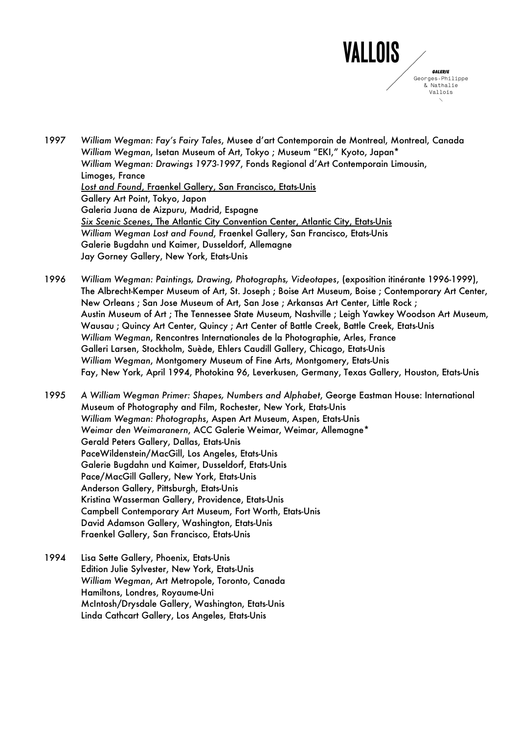

1997 *William Wegman: Fay's Fairy Tales*, Musee d'art Contemporain de Montreal, Montreal, Canada *William Wegman*, Isetan Museum of Art, Tokyo ; Museum "EKI," Kyoto, Japan\* *William Wegman: Drawings 1973-1997*, Fonds Regional d'Art Contemporain Limousin, Limoges, France *Lost and Found*, Fraenkel Gallery, San Francisco, Etats-Unis Gallery Art Point, Tokyo, Japon Galeria Juana de Aizpuru, Madrid, Espagne *Six Scenic Scenes*, The Atlantic City Convention Center, Atlantic City, Etats-Unis *William Wegman Lost and Found*, Fraenkel Gallery, San Francisco, Etats-Unis Galerie Bugdahn und Kaimer, Dusseldorf, Allemagne Jay Gorney Gallery, New York, Etats-Unis

1996 *William Wegman: Paintings, Drawing, Photographs, Videotapes*, (exposition itinérante 1996-1999), The Albrecht-Kemper Museum of Art, St. Joseph ; Boise Art Museum, Boise ; Contemporary Art Center, New Orleans ; San Jose Museum of Art, San Jose ; Arkansas Art Center, Little Rock ; Austin Museum of Art ; The Tennessee State Museum, Nashville ; Leigh Yawkey Woodson Art Museum, Wausau ; Quincy Art Center, Quincy ; Art Center of Battle Creek, Battle Creek, Etats-Unis *William Wegman*, Rencontres Internationales de la Photographie, Arles, France Galleri Larsen, Stockholm, Suède, Ehlers Caudill Gallery, Chicago, Etats-Unis *William Wegman*, Montgomery Museum of Fine Arts, Montgomery, Etats-Unis Fay, New York, April 1994, Photokina 96, Leverkusen, Germany, Texas Gallery, Houston, Etats-Unis

1995 *A William Wegman Primer: Shapes, Numbers and Alphabet*, George Eastman House: International Museum of Photography and Film, Rochester, New York, Etats-Unis *William Wegman: Photographs*, Aspen Art Museum, Aspen, Etats-Unis *Weimar den Weimaranern*, ACC Galerie Weimar, Weimar, Allemagne\* Gerald Peters Gallery, Dallas, Etats-Unis PaceWildenstein/MacGill, Los Angeles, Etats-Unis Galerie Bugdahn und Kaimer, Dusseldorf, Etats-Unis Pace/MacGill Gallery, New York, Etats-Unis Anderson Gallery, Pittsburgh, Etats-Unis Kristina Wasserman Gallery, Providence, Etats-Unis Campbell Contemporary Art Museum, Fort Worth, Etats-Unis David Adamson Gallery, Washington, Etats-Unis Fraenkel Gallery, San Francisco, Etats-Unis

1994 Lisa Sette Gallery, Phoenix, Etats-Unis Edition Julie Sylvester, New York, Etats-Unis *William Wegman*, Art Metropole, Toronto, Canada Hamiltons, Londres, Royaume-Uni McIntosh/Drysdale Gallery, Washington, Etats-Unis Linda Cathcart Gallery, Los Angeles, Etats-Unis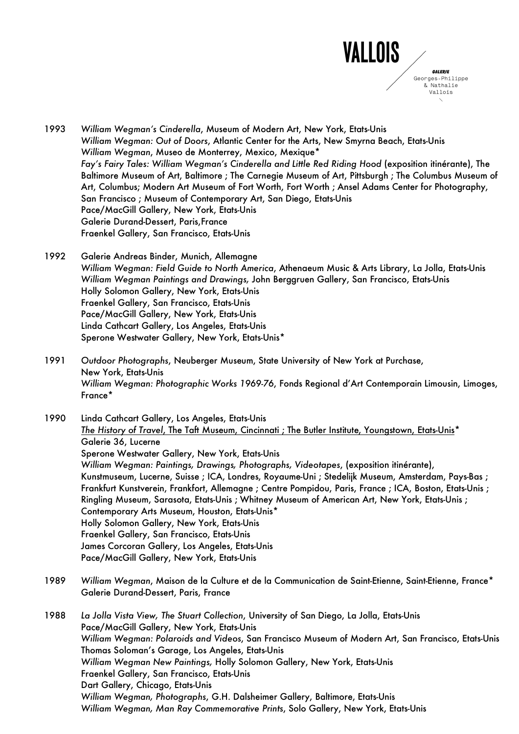

- 1993 *William Wegman's Cinderella*, Museum of Modern Art, New York, Etats-Unis *William Wegman: Out of Doors*, Atlantic Center for the Arts, New Smyrna Beach, Etats-Unis *William Wegman*, Museo de Monterrey, Mexico, Mexique\* *Fay's Fairy Tales: William Wegman's Cinderella and Little Red Riding Hood* (exposition itinérante), The Baltimore Museum of Art, Baltimore ; The Carnegie Museum of Art, Pittsburgh ; The Columbus Museum of Art, Columbus; Modern Art Museum of Fort Worth, Fort Worth ; Ansel Adams Center for Photography, San Francisco ; Museum of Contemporary Art, San Diego, Etats-Unis Pace/MacGill Gallery, New York, Etats-Unis Galerie Durand-Dessert, Paris,France Fraenkel Gallery, San Francisco, Etats-Unis
- 1992 Galerie Andreas Binder, Munich, Allemagne *William Wegman: Field Guide to North America*, Athenaeum Music & Arts Library, La Jolla, Etats-Unis *William Wegman Paintings and Drawings,* John Berggruen Gallery, San Francisco, Etats-Unis Holly Solomon Gallery, New York, Etats-Unis Fraenkel Gallery, San Francisco, Etats-Unis Pace/MacGill Gallery, New York, Etats-Unis Linda Cathcart Gallery, Los Angeles, Etats-Unis Sperone Westwater Gallery, New York, Etats-Unis\*
- 1991 *Outdoor Photographs*, Neuberger Museum, State University of New York at Purchase, New York, Etats-Unis *William Wegman: Photographic Works 1969-76*, Fonds Regional d'Art Contemporain Limousin, Limoges, France\*
- 1990 Linda Cathcart Gallery, Los Angeles, Etats-Unis *The History of Travel*, The Taft Museum, Cincinnati ; The Butler Institute, Youngstown, Etats-Unis\* Galerie 36, Lucerne Sperone Westwater Gallery, New York, Etats-Unis *William Wegman: Paintings, Drawings, Photographs, Videotapes*, (exposition itinérante), Kunstmuseum, Lucerne, Suisse ; ICA, Londres, Royaume-Uni ; Stedelijk Museum, Amsterdam, Pays-Bas ; Frankfurt Kunstverein, Frankfort, Allemagne ; Centre Pompidou, Paris, France ; ICA, Boston, Etats-Unis ; Ringling Museum, Sarasota, Etats-Unis ; Whitney Museum of American Art, New York, Etats-Unis ; Contemporary Arts Museum, Houston, Etats-Unis\* Holly Solomon Gallery, New York, Etats-Unis Fraenkel Gallery, San Francisco, Etats-Unis James Corcoran Gallery, Los Angeles, Etats-Unis Pace/MacGill Gallery, New York, Etats-Unis
- 1989 *William Wegman*, Maison de la Culture et de la Communication de Saint-Etienne, Saint-Etienne, France\* Galerie Durand-Dessert, Paris, France
- 1988 *La Jolla Vista View, The Stuart Collection*, University of San Diego, La Jolla, Etats-Unis Pace/MacGill Gallery, New York, Etats-Unis *William Wegman: Polaroids and Videos*, San Francisco Museum of Modern Art, San Francisco, Etats-Unis Thomas Soloman's Garage, Los Angeles, Etats-Unis *William Wegman New Paintings,* Holly Solomon Gallery, New York, Etats-Unis Fraenkel Gallery, San Francisco, Etats-Unis Dart Gallery, Chicago, Etats-Unis *William Wegman, Photographs*, G.H. Dalsheimer Gallery, Baltimore, Etats-Unis *William Wegman, Man Ray Commemorative Prints*, Solo Gallery, New York, Etats-Unis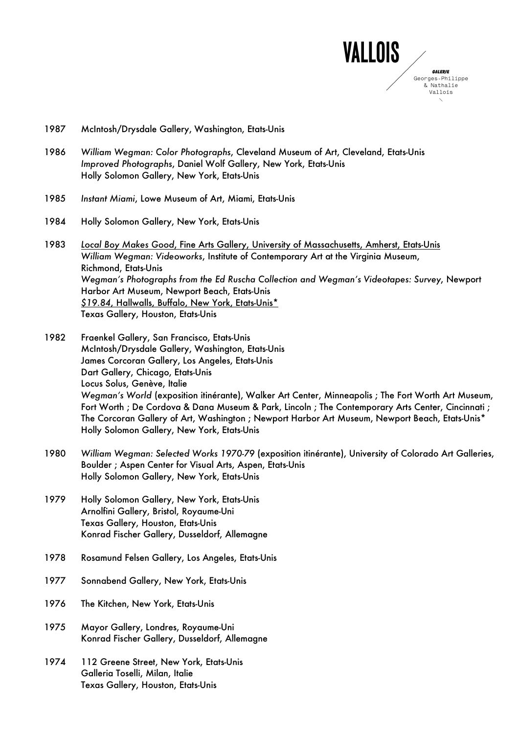

- 1987 McIntosh/Drysdale Gallery, Washington, Etats-Unis
- 1986 *William Wegman: Color Photographs*, Cleveland Museum of Art, Cleveland, Etats-Unis *Improved Photographs*, Daniel Wolf Gallery, New York, Etats-Unis Holly Solomon Gallery, New York, Etats-Unis
- 1985 *Instant Miami*, Lowe Museum of Art, Miami, Etats-Unis
- 1984 Holly Solomon Gallery, New York, Etats-Unis
- 1983 *Local Boy Makes Good*, Fine Arts Gallery, University of Massachusetts, Amherst, Etats-Unis *William Wegman: Videoworks*, Institute of Contemporary Art at the Virginia Museum, Richmond, Etats-Unis *Wegman's Photographs from the Ed Ruscha Collection and Wegman's Videotapes: Survey*, Newport Harbor Art Museum, Newport Beach, Etats-Unis *\$19.84*, Hallwalls, Buffalo, New York, Etats-Unis\* Texas Gallery, Houston, Etats-Unis
- 1982 Fraenkel Gallery, San Francisco, Etats-Unis McIntosh/Drysdale Gallery, Washington, Etats-Unis James Corcoran Gallery, Los Angeles, Etats-Unis Dart Gallery, Chicago, Etats-Unis Locus Solus, Genève, Italie *Wegman's World* (exposition itinérante), Walker Art Center, Minneapolis ; The Fort Worth Art Museum, Fort Worth ; De Cordova & Dana Museum & Park, Lincoln ; The Contemporary Arts Center, Cincinnati ; The Corcoran Gallery of Art, Washington ; Newport Harbor Art Museum, Newport Beach, Etats-Unis\* Holly Solomon Gallery, New York, Etats-Unis
- 1980 *William Wegman: Selected Works 1970-79* (exposition itinérante), University of Colorado Art Galleries, Boulder ; Aspen Center for Visual Arts, Aspen, Etats-Unis Holly Solomon Gallery, New York, Etats-Unis
- 1979 Holly Solomon Gallery, New York, Etats-Unis Arnolfini Gallery, Bristol, Royaume-Uni Texas Gallery, Houston, Etats-Unis Konrad Fischer Gallery, Dusseldorf, Allemagne
- 1978 Rosamund Felsen Gallery, Los Angeles, Etats-Unis
- 1977 Sonnabend Gallery, New York, Etats-Unis
- 1976 The Kitchen, New York, Etats-Unis
- 1975 Mayor Gallery, Londres, Royaume-Uni Konrad Fischer Gallery, Dusseldorf, Allemagne
- 1974 112 Greene Street, New York, Etats-Unis Galleria Toselli, Milan, Italie Texas Gallery, Houston, Etats-Unis